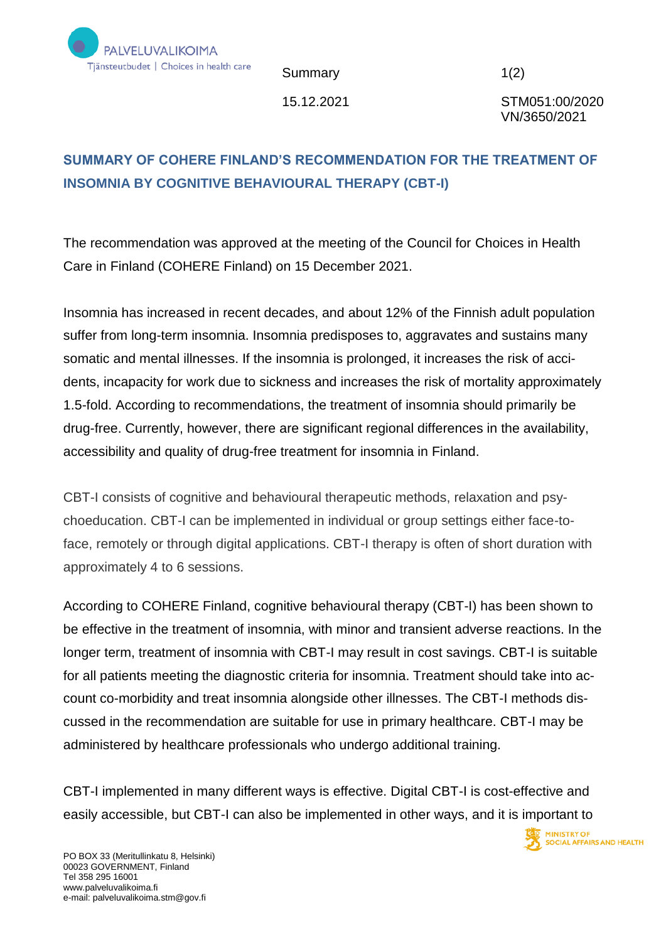

Summary 1(2)

15.12.2021 STM051:00/2020 VN/3650/2021

**MINISTRY OF** 

SOCIAL AFFAIRS AND HEALTH

## **SUMMARY OF COHERE FINLAND'S RECOMMENDATION FOR THE TREATMENT OF INSOMNIA BY COGNITIVE BEHAVIOURAL THERAPY (CBT-I)**

The recommendation was approved at the meeting of the Council for Choices in Health Care in Finland (COHERE Finland) on 15 December 2021.

Insomnia has increased in recent decades, and about 12% of the Finnish adult population suffer from long-term insomnia. Insomnia predisposes to, aggravates and sustains many somatic and mental illnesses. If the insomnia is prolonged, it increases the risk of accidents, incapacity for work due to sickness and increases the risk of mortality approximately 1.5-fold. According to recommendations, the treatment of insomnia should primarily be drug-free. Currently, however, there are significant regional differences in the availability, accessibility and quality of drug-free treatment for insomnia in Finland.

CBT-I consists of cognitive and behavioural therapeutic methods, relaxation and psychoeducation. CBT-I can be implemented in individual or group settings either face-toface, remotely or through digital applications. CBT-I therapy is often of short duration with approximately 4 to 6 sessions.

According to COHERE Finland, cognitive behavioural therapy (CBT-I) has been shown to be effective in the treatment of insomnia, with minor and transient adverse reactions. In the longer term, treatment of insomnia with CBT-I may result in cost savings. CBT-I is suitable for all patients meeting the diagnostic criteria for insomnia. Treatment should take into account co-morbidity and treat insomnia alongside other illnesses. The CBT-I methods discussed in the recommendation are suitable for use in primary healthcare. CBT-I may be administered by healthcare professionals who undergo additional training.

CBT-I implemented in many different ways is effective. Digital CBT-I is cost-effective and easily accessible, but CBT-I can also be implemented in other ways, and it is important to